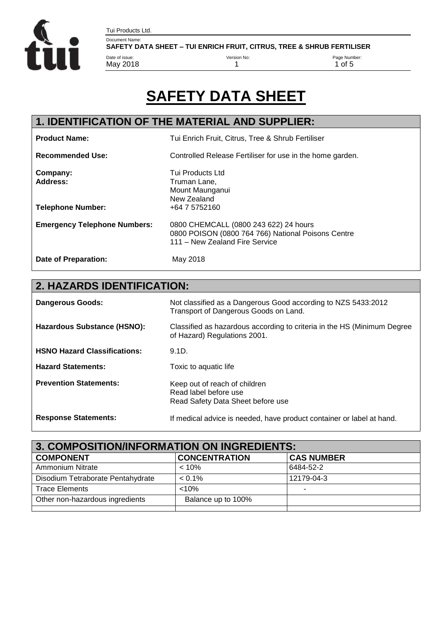

Document Name: SAFETY DATA SHEET – TUI ENRICH FRUIT, CITRUS, TREE & SHRUB FERTILISER

Version No:

1

Page Number:  $1$  of 5

# **SAFETY DATA SHEET**

# **1. IDENTIFICATION OF THE MATERIAL AND SUPPLIER:**

Tui Products Ltd.

Date of issue: May 2018

| <b>Product Name:</b>                | Tui Enrich Fruit, Citrus, Tree & Shrub Fertiliser                                                                             |
|-------------------------------------|-------------------------------------------------------------------------------------------------------------------------------|
| <b>Recommended Use:</b>             | Controlled Release Fertiliser for use in the home garden.                                                                     |
| Company:<br><b>Address:</b>         | Tui Products Ltd<br>Truman Lane,<br>Mount Maunganui<br>New Zealand                                                            |
| <b>Telephone Number:</b>            | +64 7 5752160                                                                                                                 |
| <b>Emergency Telephone Numbers:</b> | 0800 CHEMCALL (0800 243 622) 24 hours<br>0800 POISON (0800 764 766) National Poisons Centre<br>111 - New Zealand Fire Service |
| Date of Preparation:                | May 2018                                                                                                                      |

# **2. HAZARDS IDENTIFICATION:**

| <b>Dangerous Goods:</b>             | Not classified as a Dangerous Good according to NZS 5433:2012<br>Transport of Dangerous Goods on Land.  |
|-------------------------------------|---------------------------------------------------------------------------------------------------------|
| Hazardous Substance (HSNO):         | Classified as hazardous according to criteria in the HS (Minimum Degree<br>of Hazard) Regulations 2001. |
| <b>HSNO Hazard Classifications:</b> | 9.1D.                                                                                                   |
| <b>Hazard Statements:</b>           | Toxic to aquatic life                                                                                   |
| <b>Prevention Statements:</b>       | Keep out of reach of children<br>Read label before use<br>Read Safety Data Sheet before use             |
| <b>Response Statements:</b>         | If medical advice is needed, have product container or label at hand.                                   |

| 3. COMPOSITION/INFORMATION ON INGREDIENTS: |                      |                   |
|--------------------------------------------|----------------------|-------------------|
| <b>COMPONENT</b>                           | <b>CONCENTRATION</b> | <b>CAS NUMBER</b> |
| Ammonium Nitrate                           | < 10%                | 6484-52-2         |
| Disodium Tetraborate Pentahydrate          | $< 0.1\%$            | 12179-04-3        |
| <b>Trace Elements</b>                      | $< 10\%$             |                   |
| Other non-hazardous ingredients            | Balance up to 100%   |                   |
|                                            |                      |                   |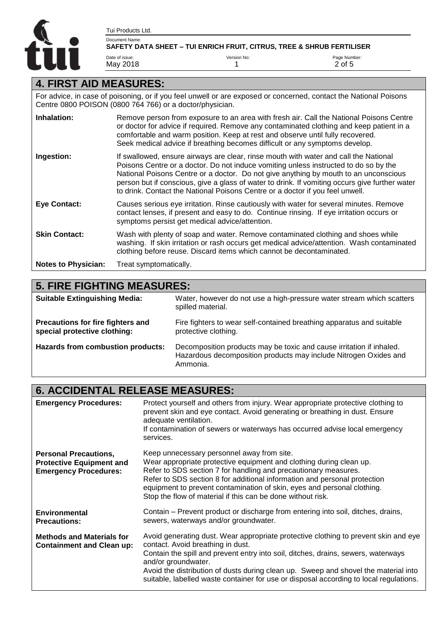

Version No: 1

Page Number: 2 of 5

### **4. FIRST AID MEASURES:**

Tui Products Ltd.

Date of issue: May 2018

For advice, in case of poisoning, or if you feel unwell or are exposed or concerned, contact the National Poisons Centre 0800 POISON (0800 764 766) or a doctor/physician.

| Inhalation:                | Remove person from exposure to an area with fresh air. Call the National Poisons Centre<br>or doctor for advice if required. Remove any contaminated clothing and keep patient in a<br>comfortable and warm position. Keep at rest and observe until fully recovered.<br>Seek medical advice if breathing becomes difficult or any symptoms develop.                                                                                                    |
|----------------------------|---------------------------------------------------------------------------------------------------------------------------------------------------------------------------------------------------------------------------------------------------------------------------------------------------------------------------------------------------------------------------------------------------------------------------------------------------------|
| Ingestion:                 | If swallowed, ensure airways are clear, rinse mouth with water and call the National<br>Poisons Centre or a doctor. Do not induce vomiting unless instructed to do so by the<br>National Poisons Centre or a doctor. Do not give anything by mouth to an unconscious<br>person but if conscious, give a glass of water to drink. If vomiting occurs give further water<br>to drink. Contact the National Poisons Centre or a doctor if you feel unwell. |
| <b>Eye Contact:</b>        | Causes serious eye irritation. Rinse cautiously with water for several minutes. Remove<br>contact lenses, if present and easy to do. Continue rinsing. If eye irritation occurs or<br>symptoms persist get medical advice/attention.                                                                                                                                                                                                                    |
| <b>Skin Contact:</b>       | Wash with plenty of soap and water. Remove contaminated clothing and shoes while<br>washing. If skin irritation or rash occurs get medical advice/attention. Wash contaminated<br>clothing before reuse. Discard items which cannot be decontaminated.                                                                                                                                                                                                  |
| <b>Notes to Physician:</b> | Treat symptomatically.                                                                                                                                                                                                                                                                                                                                                                                                                                  |

#### **5. FIRE FIGHTING MEASURES: Suitable Extinguishing Media:** Water, however do not use a high-pressure water stream which scatters spilled material. **Precautions for fire fighters and special protective clothing:** Fire fighters to wear self-contained breathing apparatus and suitable protective clothing. **Hazards from combustion products:** Decomposition products may be toxic and cause irritation if inhaled. Hazardous decomposition products may include Nitrogen Oxides and Ammonia.

### **6. ACCIDENTAL RELEASE MEASURES:**

| <b>Emergency Procedures:</b>                                                                    | Protect yourself and others from injury. Wear appropriate protective clothing to<br>prevent skin and eye contact. Avoid generating or breathing in dust. Ensure<br>adequate ventilation.<br>If contamination of sewers or waterways has occurred advise local emergency<br>services.                                                                                                                                  |
|-------------------------------------------------------------------------------------------------|-----------------------------------------------------------------------------------------------------------------------------------------------------------------------------------------------------------------------------------------------------------------------------------------------------------------------------------------------------------------------------------------------------------------------|
| <b>Personal Precautions,</b><br><b>Protective Equipment and</b><br><b>Emergency Procedures:</b> | Keep unnecessary personnel away from site.<br>Wear appropriate protective equipment and clothing during clean up.<br>Refer to SDS section 7 for handling and precautionary measures.<br>Refer to SDS section 8 for additional information and personal protection<br>equipment to prevent contamination of skin, eyes and personal clothing.<br>Stop the flow of material if this can be done without risk.           |
| <b>Environmental</b><br><b>Precautions:</b>                                                     | Contain – Prevent product or discharge from entering into soil, ditches, drains,<br>sewers, waterways and/or groundwater.                                                                                                                                                                                                                                                                                             |
| <b>Methods and Materials for</b><br><b>Containment and Clean up:</b>                            | Avoid generating dust. Wear appropriate protective clothing to prevent skin and eye<br>contact. Avoid breathing in dust.<br>Contain the spill and prevent entry into soil, ditches, drains, sewers, waterways<br>and/or groundwater.<br>Avoid the distribution of dusts during clean up. Sweep and shovel the material into<br>suitable, labelled waste container for use or disposal according to local regulations. |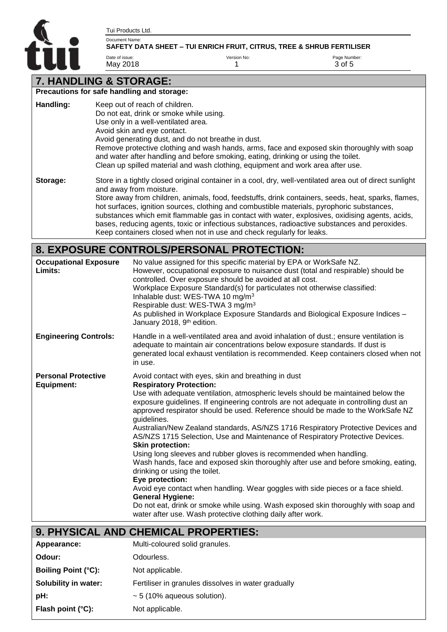A

Tui Products Ltd.

Date of issue: May 2018

#### Document Name: SAFETY DATA SHEET – TUI ENRICH FRUIT, CITRUS, TREE & SHRUB FERTILISER

1

Version No:

Page Number: 3 of 5

# **7. HANDLING & STORAGE:**

|           | Precautions for safe handling and storage:                                                                                                                                                                                                                                                                                                                                                                                                                                                                                                                                                                            |
|-----------|-----------------------------------------------------------------------------------------------------------------------------------------------------------------------------------------------------------------------------------------------------------------------------------------------------------------------------------------------------------------------------------------------------------------------------------------------------------------------------------------------------------------------------------------------------------------------------------------------------------------------|
| Handling: | Keep out of reach of children.<br>Do not eat, drink or smoke while using.<br>Use only in a well-ventilated area.<br>Avoid skin and eye contact.<br>Avoid generating dust, and do not breathe in dust.<br>Remove protective clothing and wash hands, arms, face and exposed skin thoroughly with soap<br>and water after handling and before smoking, eating, drinking or using the toilet.<br>Clean up spilled material and wash clothing, equipment and work area after use.                                                                                                                                         |
| Storage:  | Store in a tightly closed original container in a cool, dry, well-ventilated area out of direct sunlight<br>and away from moisture.<br>Store away from children, animals, food, feedstuffs, drink containers, seeds, heat, sparks, flames,<br>hot surfaces, ignition sources, clothing and combustible materials, pyrophoric substances,<br>substances which emit flammable gas in contact with water, explosives, oxidising agents, acids,<br>bases, reducing agents, toxic or infectious substances, radioactive substances and peroxides.<br>Keep containers closed when not in use and check regularly for leaks. |

# **8. EXPOSURE CONTROLS/PERSONAL PROTECTION:**

| <b>Occupational Exposure</b><br>Limits:         | No value assigned for this specific material by EPA or WorkSafe NZ.<br>However, occupational exposure to nuisance dust (total and respirable) should be<br>controlled. Over exposure should be avoided at all cost.<br>Workplace Exposure Standard(s) for particulates not otherwise classified:<br>Inhalable dust: WES-TWA 10 mg/m <sup>3</sup><br>Respirable dust: WES-TWA 3 mg/m <sup>3</sup><br>As published in Workplace Exposure Standards and Biological Exposure Indices -<br>January 2018, 9 <sup>th</sup> edition.                                                                                                                                                                                                                                                                                                                                                                                                                                                                                                                            |
|-------------------------------------------------|---------------------------------------------------------------------------------------------------------------------------------------------------------------------------------------------------------------------------------------------------------------------------------------------------------------------------------------------------------------------------------------------------------------------------------------------------------------------------------------------------------------------------------------------------------------------------------------------------------------------------------------------------------------------------------------------------------------------------------------------------------------------------------------------------------------------------------------------------------------------------------------------------------------------------------------------------------------------------------------------------------------------------------------------------------|
| <b>Engineering Controls:</b>                    | Handle in a well-ventilated area and avoid inhalation of dust.; ensure ventilation is<br>adequate to maintain air concentrations below exposure standards. If dust is<br>generated local exhaust ventilation is recommended. Keep containers closed when not<br>in use.                                                                                                                                                                                                                                                                                                                                                                                                                                                                                                                                                                                                                                                                                                                                                                                 |
| <b>Personal Protective</b><br><b>Equipment:</b> | Avoid contact with eyes, skin and breathing in dust<br><b>Respiratory Protection:</b><br>Use with adequate ventilation, atmospheric levels should be maintained below the<br>exposure guidelines. If engineering controls are not adequate in controlling dust an<br>approved respirator should be used. Reference should be made to the WorkSafe NZ<br>guidelines.<br>Australian/New Zealand standards, AS/NZS 1716 Respiratory Protective Devices and<br>AS/NZS 1715 Selection, Use and Maintenance of Respiratory Protective Devices.<br><b>Skin protection:</b><br>Using long sleeves and rubber gloves is recommended when handling.<br>Wash hands, face and exposed skin thoroughly after use and before smoking, eating,<br>drinking or using the toilet.<br>Eye protection:<br>Avoid eye contact when handling. Wear goggles with side pieces or a face shield.<br><b>General Hygiene:</b><br>Do not eat, drink or smoke while using. Wash exposed skin thoroughly with soap and<br>water after use. Wash protective clothing daily after work. |

# **9. PHYSICAL AND CHEMICAL PROPERTIES:**

| Appearance:                 | Multi-coloured solid granules.                      |
|-----------------------------|-----------------------------------------------------|
| Odour:                      | Odourless.                                          |
| <b>Boiling Point (°C):</b>  | Not applicable.                                     |
| Solubility in water:        | Fertiliser in granules dissolves in water gradually |
| pH:                         | $\sim$ 5 (10% aqueous solution).                    |
| Flash point $(^{\circ}C)$ : | Not applicable.                                     |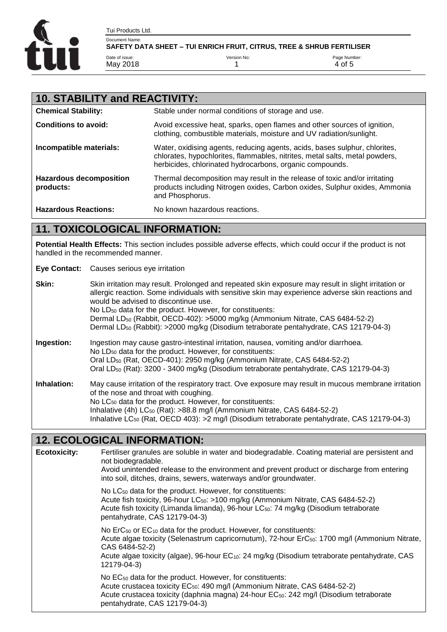

| <b>10. STABILITY and REACTIVITY:</b>        |                                                                                                                                                                                                                       |  |
|---------------------------------------------|-----------------------------------------------------------------------------------------------------------------------------------------------------------------------------------------------------------------------|--|
| <b>Chemical Stability:</b>                  | Stable under normal conditions of storage and use.                                                                                                                                                                    |  |
| Conditions to avoid:                        | Avoid excessive heat, sparks, open flames and other sources of ignition,<br>clothing, combustible materials, moisture and UV radiation/sunlight.                                                                      |  |
| Incompatible materials:                     | Water, oxidising agents, reducing agents, acids, bases sulphur, chlorites,<br>chlorates, hypochlorites, flammables, nitrites, metal salts, metal powders,<br>herbicides, chlorinated hydrocarbons, organic compounds. |  |
| <b>Hazardous decomposition</b><br>products: | Thermal decomposition may result in the release of toxic and/or irritating<br>products including Nitrogen oxides, Carbon oxides, Sulphur oxides, Ammonia<br>and Phosphorus.                                           |  |
| <b>Hazardous Reactions:</b>                 | No known hazardous reactions.                                                                                                                                                                                         |  |

## **11. TOXICOLOGICAL INFORMATION:**

**Potential Health Effects:** This section includes possible adverse effects, which could occur if the product is not handled in the recommended manner.

**Eye Contact:** Causes serious eye irritation

| Skin:       | Skin irritation may result. Prolonged and repeated skin exposure may result in slight irritation or<br>allergic reaction. Some individuals with sensitive skin may experience adverse skin reactions and<br>would be advised to discontinue use.<br>No LD <sub>50</sub> data for the product. However, for constituents:<br>Dermal LD <sub>50</sub> (Rabbit, OECD-402): >5000 mg/kg (Ammonium Nitrate, CAS 6484-52-2)<br>Dermal LD <sub>50</sub> (Rabbit): >2000 mg/kg (Disodium tetraborate pentahydrate, CAS 12179-04-3) |
|-------------|----------------------------------------------------------------------------------------------------------------------------------------------------------------------------------------------------------------------------------------------------------------------------------------------------------------------------------------------------------------------------------------------------------------------------------------------------------------------------------------------------------------------------|
| Ingestion:  | Ingestion may cause gastro-intestinal irritation, nausea, vomiting and/or diarrhoea.<br>No LD <sub>50</sub> data for the product. However, for constituents:<br>Oral LD <sub>50</sub> (Rat, OECD-401): 2950 mg/kg (Ammonium Nitrate, CAS 6484-52-2)<br>Oral LD <sub>50</sub> (Rat): 3200 - 3400 mg/kg (Disodium tetraborate pentahydrate, CAS 12179-04-3)                                                                                                                                                                  |
| Inhalation: | May cause irritation of the respiratory tract. Ove exposure may result in mucous membrane irritation<br>of the nose and throat with coughing.<br>No LC <sub>50</sub> data for the product. However, for constituents:<br>Inhalative (4h) LC <sub>50</sub> (Rat): >88.8 mg/l (Ammonium Nitrate, CAS 6484-52-2)<br>Inhalative LC <sub>50</sub> (Rat, OECD 403): > 2 mg/l (Disodium tetraborate pentahydrate, CAS 12179-04-3)                                                                                                 |

### **12. ECOLOGICAL INFORMATION:**

**Ecotoxicity:** Fertiliser granules are soluble in water and biodegradable. Coating material are persistent and not biodegradable. Avoid unintended release to the environment and prevent product or discharge from entering into soil, ditches, drains, sewers, waterways and/or groundwater. No LC<sub>50</sub> data for the product. However, for constituents: Acute fish toxicity, 96-hour LC<sub>50</sub>: >100 mg/kg (Ammonium Nitrate, CAS 6484-52-2) Acute fish toxicity (Limanda limanda), 96-hour LC<sub>50</sub>: 74 mg/kg (Disodium tetraborate pentahydrate, CAS 12179-04-3) No ErC<sub>50</sub> or EC<sub>10</sub> data for the product. However, for constituents: Acute algae toxicity (Selenastrum capricornutum), 72-hour ErC<sub>50</sub>: 1700 mg/l (Ammonium Nitrate, CAS 6484-52-2) Acute algae toxicity (algae), 96-hour EC10: 24 mg/kg (Disodium tetraborate pentahydrate, CAS 12179-04-3) No EC<sub>50</sub> data for the product. However, for constituents: Acute crustacea toxicity EC<sub>50</sub>: 490 mg/l (Ammonium Nitrate, CAS 6484-52-2) Acute crustacea toxicity (daphnia magna) 24-hour EC<sub>50</sub>: 242 mg/l (Disodium tetraborate pentahydrate, CAS 12179-04-3)